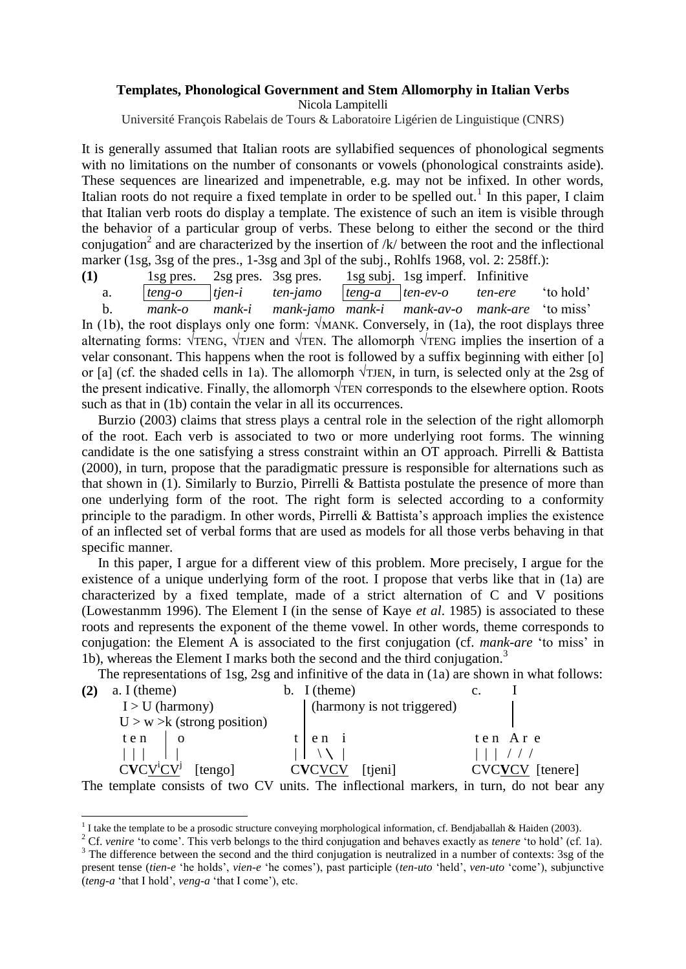## **Templates, Phonological Government and Stem Allomorphy in Italian Verbs** Nicola Lampitelli

Université François Rabelais de Tours & Laboratoire Ligérien de Linguistique (CNRS)

It is generally assumed that Italian roots are syllabified sequences of phonological segments with no limitations on the number of consonants or vowels (phonological constraints aside). These sequences are linearized and impenetrable, e.g. may not be infixed. In other words, Italian roots do not require a fixed template in order to be spelled out.<sup>1</sup> In this paper, I claim that Italian verb roots do display a template. The existence of such an item is visible through the behavior of a particular group of verbs. These belong to either the second or the third conjugation<sup>2</sup> and are characterized by the insertion of  $/k$  between the root and the inflectional marker (1sg, 3sg of the pres., 1-3sg and 3pl of the subj., Rohlfs 1968, vol. 2: 258ff.):

**(1)** 1sg pres. 2sg pres. 3sg pres. 1sg subj. 1sg imperf. Infinitive

a. *teng-o tjen-i ten-jamo teng-a ten-ev-o ten-ere* "to hold"

 b. *mank-o mank-i mank-jamo mank-i mank-av-o mank-are* "to miss" In (1b), the root displays only one form:  $\sqrt{MANK}$ . Conversely, in (1a), the root displays three alternating forms:  $\sqrt{TENG}$ ,  $\sqrt{TEN}$  and  $\sqrt{TEN}$ . The allomorph  $\sqrt{TENG}$  implies the insertion of a velar consonant. This happens when the root is followed by a suffix beginning with either [o] or [a] (cf. the shaded cells in 1a). The allomorph  $\sqrt{TJEN}$ , in turn, is selected only at the 2sg of the present indicative. Finally, the allomorph  $\sqrt{T}EN$  corresponds to the elsewhere option. Roots such as that in (1b) contain the velar in all its occurrences.

Burzio (2003) claims that stress plays a central role in the selection of the right allomorph of the root. Each verb is associated to two or more underlying root forms. The winning candidate is the one satisfying a stress constraint within an OT approach. Pirrelli & Battista (2000), in turn, propose that the paradigmatic pressure is responsible for alternations such as that shown in (1). Similarly to Burzio, Pirrelli & Battista postulate the presence of more than one underlying form of the root. The right form is selected according to a conformity principle to the paradigm. In other words, Pirrelli  $\&$  Battista's approach implies the existence of an inflected set of verbal forms that are used as models for all those verbs behaving in that specific manner.

In this paper, I argue for a different view of this problem. More precisely, I argue for the existence of a unique underlying form of the root. I propose that verbs like that in (1a) are characterized by a fixed template, made of a strict alternation of C and V positions (Lowestanmm 1996). The Element I (in the sense of Kaye *et al*. 1985) is associated to these roots and represents the exponent of the theme vowel. In other words, theme corresponds to conjugation: the Element A is associated to the first conjugation (cf. *mank-are* "to miss" in 1b), whereas the Element I marks both the second and the third conjugation.<sup>3</sup>

The representations of 1sg, 2sg and infinitive of the data in (1a) are shown in what follows:

|                         | $a. I$ (theme)    |                               | b. I (theme)                 |          |
|-------------------------|-------------------|-------------------------------|------------------------------|----------|
|                         | $I > U$ (harmony) |                               | (harmony is not triggered)   |          |
|                         |                   | $U > w > k$ (strong position) |                              |          |
|                         | ten               |                               | $e n$ 1                      | ten Are  |
|                         |                   |                               |                              |          |
| $CVCV^iCV^j$<br>[tengo] |                   |                               | <b>CVCVCV</b><br>[tjeni]     | [tenere] |
| ---                     |                   | $\sim$ $\sim$<br>$- - -$      | $\sim$ $\sim$ $\sim$<br>____ |          |

The template consists of two CV units. The inflectional markers, in turn, do not bear any

<sup>2</sup> Cf. *venire* 'to come'. This verb belongs to the third conjugation and behaves exactly as *tenere* 'to hold' (cf. 1a).

 1 I take the template to be a prosodic structure conveying morphological information, cf. Bendjaballah & Haiden (2003).

<sup>&</sup>lt;sup>3</sup> The difference between the second and the third conjugation is neutralized in a number of contexts: 3sg of the present tense (*tien-e* "he holds", *vien-e* "he comes"), past participle (*ten-uto* "held", *ven-uto* "come"), subjunctive (*teng-a* "that I hold", *veng-a* "that I come"), etc.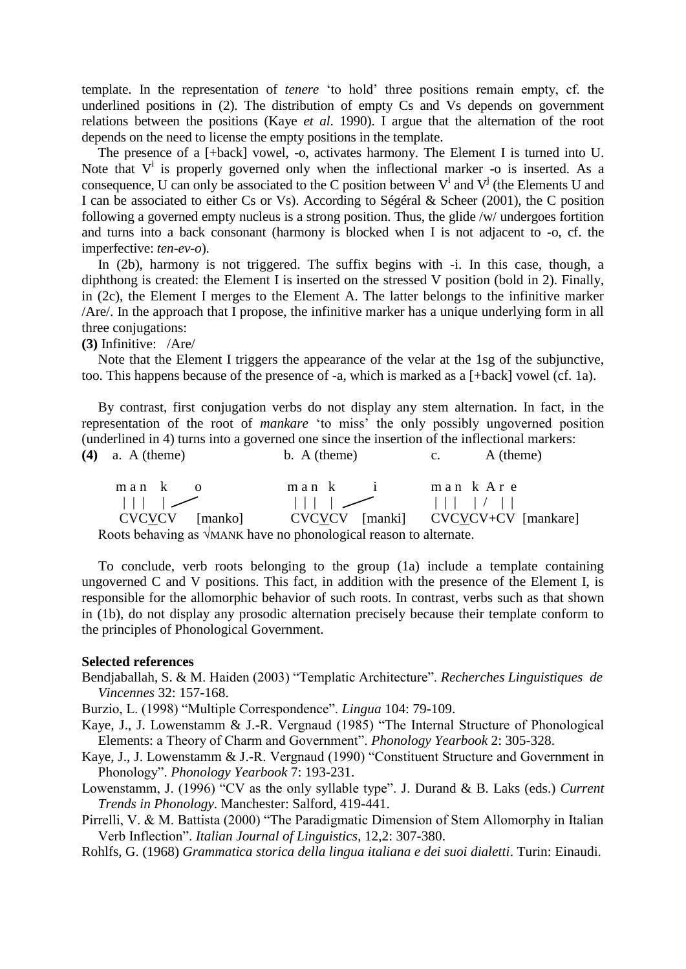template. In the representation of *tenere* "to hold" three positions remain empty, cf. the underlined positions in (2). The distribution of empty Cs and Vs depends on government relations between the positions (Kaye *et al*. 1990). I argue that the alternation of the root depends on the need to license the empty positions in the template.

The presence of a [+back] vowel, -o, activates harmony. The Element I is turned into U. Note that  $V^i$  is properly governed only when the inflectional marker -o is inserted. As a consequence, U can only be associated to the C position between  $V^i$  and  $V^j$  (the Elements U and I can be associated to either Cs or Vs). According to Ségéral & Scheer (2001), the C position following a governed empty nucleus is a strong position. Thus, the glide /w/ undergoes fortition and turns into a back consonant (harmony is blocked when I is not adjacent to -o, cf. the imperfective: *ten-ev-o*).

In (2b), harmony is not triggered. The suffix begins with -i. In this case, though, a diphthong is created: the Element I is inserted on the stressed V position (bold in 2). Finally, in (2c), the Element I merges to the Element A. The latter belongs to the infinitive marker /Are/. In the approach that I propose, the infinitive marker has a unique underlying form in all three conjugations:

**(3)** Infinitive: /Are/

Note that the Element I triggers the appearance of the velar at the 1sg of the subjunctive, too. This happens because of the presence of -a, which is marked as a [+back] vowel (cf. 1a).

By contrast, first conjugation verbs do not display any stem alternation. In fact, in the representation of the root of *mankare* "to miss" the only possibly ungoverned position (underlined in 4) turns into a governed one since the insertion of the inflectional markers: **(4)** a. A (theme) b. A (theme) c. A (theme)

| man ko                                                                                                                                                                                                                            | man k i | man k Are                          |
|-----------------------------------------------------------------------------------------------------------------------------------------------------------------------------------------------------------------------------------|---------|------------------------------------|
| $\vert \vert \vert$ $\vert$ $\vert$                                                                                                                                                                                               |         |                                    |
| CVCVCV [manko]                                                                                                                                                                                                                    |         | CVCVCV [manki] CVCVCV+CV [mankare] |
| $\mathbf{D}$ and the largest secondary system of the secondary dependence of the secondary of the secondary system of the secondary system of the secondary system of the secondary system of the secondary system of the seconda |         |                                    |

Roots behaving as √MANK have no phonological reason to alternate.

To conclude, verb roots belonging to the group (1a) include a template containing ungoverned C and V positions. This fact, in addition with the presence of the Element I, is responsible for the allomorphic behavior of such roots. In contrast, verbs such as that shown in (1b), do not display any prosodic alternation precisely because their template conform to the principles of Phonological Government.

## **Selected references**

- Bendjaballah, S. & M. Haiden (2003) "Templatic Architecture". *Recherches Linguistiques de Vincennes* 32: 157-168.
- Burzio, L. (1998) "Multiple Correspondence". *Lingua* 104: 79-109.
- Kaye, J., J. Lowenstamm & J.-R. Vergnaud (1985) "The Internal Structure of Phonological Elements: a Theory of Charm and Government". *Phonology Yearbook* 2: 305-328.
- Kaye, J., J. Lowenstamm & J.-R. Vergnaud (1990) "Constituent Structure and Government in Phonology". *Phonology Yearbook* 7: 193-231.
- Lowenstamm, J. (1996) "CV as the only syllable type". J. Durand & B. Laks (eds.) *Current Trends in Phonology*. Manchester: Salford, 419-441.
- Pirrelli, V. & M. Battista (2000) "The Paradigmatic Dimension of Stem Allomorphy in Italian Verb Inflection". *Italian Journal of Linguistics*, 12,2: 307-380.
- Rohlfs, G. (1968) *Grammatica storica della lingua italiana e dei suoi dialetti*. Turin: Einaudi.